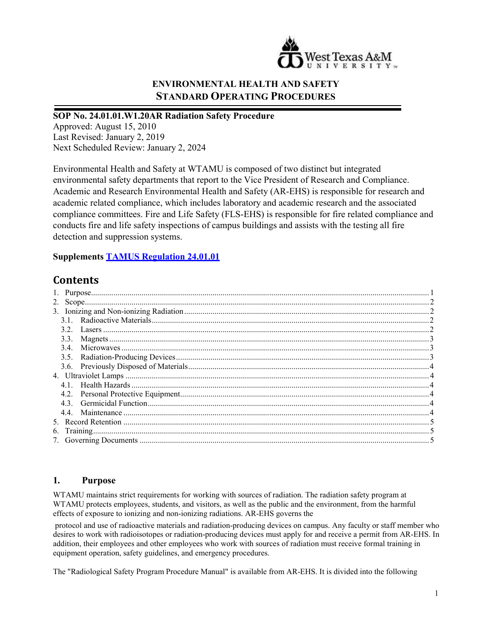

# **ENVIRONMENTAL HEALTH AND SAFETY STANDARD OPERATING PROCEDURES**

#### **SOP No. 24.01.01.W1.20AR Radiation Safety Procedure**

Approved: August 15, 2010 Last Revised: January 2, 2019 Next Scheduled Review: January 2, 2024

Environmental Health and Safety at WTAMU is composed of two distinct but integrated environmental safety departments that report to the Vice President of Research and Compliance. Academic and Research Environmental Health and Safety (AR-EHS) is responsible for research and academic related compliance, which includes laboratory and academic research and the associated compliance committees. Fire and Life Safety (FLS-EHS) is responsible for fire related compliance and conducts fire and life safety inspections of campus buildings and assists with the testing all fire detection and suppression systems.

### **Supplements [TAMUS Regulation 24.01.01](http://policies.tamus.edu/24-01-01.pdf)**

# **Contents**

### <span id="page-0-0"></span>**1. Purpose**

WTAMU maintains strict requirements for working with sources of radiation. The radiation safety program at WTAMU protects employees, students, and visitors, as well as the public and the environment, from the harmful effects of exposure to ionizing and non-ionizing radiations. AR-EHS governs the

protocol and use of radioactive materials and radiation-producing devices on campus. Any faculty or staff member who desires to work with radioisotopes or radiation-producing devices must apply for and receive a permit from AR-EHS. In addition, their employees and other employees who work with sources of radiation must receive formal training in equipment operation, safety guidelines, and emergency procedures.

The "Radiological Safety Program Procedure Manual" is available from AR-EHS. It is divided into the following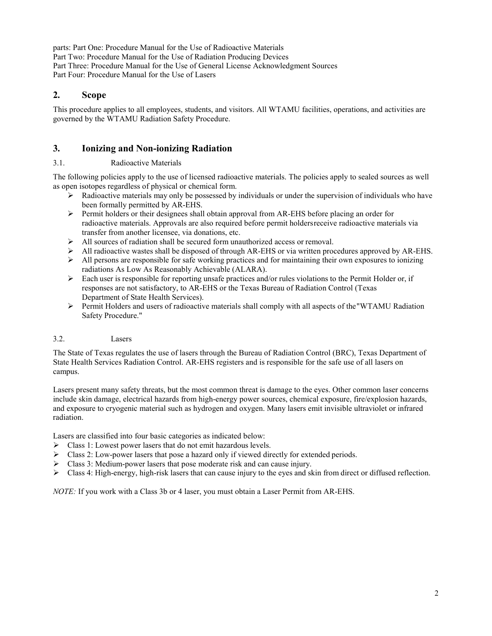parts: Part One: Procedure Manual for the Use of Radioactive Materials Part Two: Procedure Manual for the Use of Radiation Producing Devices Part Three: Procedure Manual for the Use of General License Acknowledgment Sources Part Four: Procedure Manual for the Use of Lasers

## <span id="page-1-0"></span>**2. Scope**

This procedure applies to all employees, students, and visitors. All WTAMU facilities, operations, and activities are governed by the WTAMU Radiation Safety Procedure.

## <span id="page-1-1"></span>**3. Ionizing and Non-ionizing Radiation**

### <span id="page-1-2"></span>3.1. Radioactive Materials

The following policies apply to the use of licensed radioactive materials. The policies apply to sealed sources as well as open isotopes regardless of physical or chemical form.

- $\triangleright$  Radioactive materials may only be possessed by individuals or under the supervision of individuals who have been formally permitted by AR-EHS.
- $\triangleright$  Permit holders or their designees shall obtain approval from AR-EHS before placing an order for radioactive materials. Approvals are also required before permit holdersreceive radioactive materials via transfer from another licensee, via donations, etc.
- $\triangleright$  All sources of radiation shall be secured form unauthorized access or removal.
- All radioactive wastes shall be disposed of through AR-EHS or via written procedures approved by AR-EHS.
- $\triangleright$  All persons are responsible for safe working practices and for maintaining their own exposures to ionizing radiations As Low As Reasonably Achievable (ALARA).
- $\triangleright$  Each user is responsible for reporting unsafe practices and/or rules violations to the Permit Holder or, if responses are not satisfactory, to AR-EHS or the Texas Bureau of Radiation Control (Texas Department of State Health Services).
- $\triangleright$  Permit Holders and users of radioactive materials shall comply with all aspects of the "WTAMU Radiation" Safety Procedure."

### <span id="page-1-3"></span>3.2. Lasers

The State of Texas regulates the use of lasers through the Bureau of Radiation Control (BRC), Texas Department of State Health Services Radiation Control. AR-EHS registers and is responsible for the safe use of all lasers on campus.

Lasers present many safety threats, but the most common threat is damage to the eyes. Other common laser concerns include skin damage, electrical hazards from high-energy power sources, chemical exposure, fire/explosion hazards, and exposure to cryogenic material such as hydrogen and oxygen. Many lasers emit invisible ultraviolet or infrared radiation.

Lasers are classified into four basic categories as indicated below:

- Class 1: Lowest power lasers that do not emit hazardous levels.
- Class 2: Low-power lasers that pose a hazard only if viewed directly for extended periods.
- $\triangleright$  Class 3: Medium-power lasers that pose moderate risk and can cause injury.
- $\triangleright$  Class 4: High-energy, high-risk lasers that can cause injury to the eyes and skin from direct or diffused reflection.

*NOTE:* If you work with a Class 3b or 4 laser, you must obtain a Laser Permit from AR-EHS.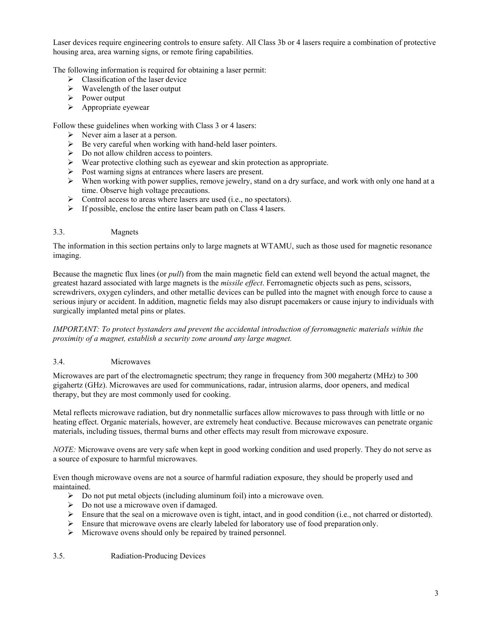Laser devices require engineering controls to ensure safety. All Class 3b or 4 lasers require a combination of protective housing area, area warning signs, or remote firing capabilities.

The following information is required for obtaining a laser permit:

- $\triangleright$  Classification of the laser device
- $\triangleright$  Wavelength of the laser output
- Power output
- $\triangleright$  Appropriate eyewear

Follow these guidelines when working with Class 3 or 4 lasers:

- $\triangleright$  Never aim a laser at a person.
- $\triangleright$  Be very careful when working with hand-held laser pointers.
- $\triangleright$  Do not allow children access to pointers.
- $\triangleright$  Wear protective clothing such as eyewear and skin protection as appropriate.
- $\triangleright$  Post warning signs at entrances where lasers are present.
- $\triangleright$  When working with power supplies, remove jewelry, stand on a dry surface, and work with only one hand at a time. Observe high voltage precautions.
- $\triangleright$  Control access to areas where lasers are used (i.e., no spectators).
- $\triangleright$  If possible, enclose the entire laser beam path on Class 4 lasers.

#### <span id="page-2-0"></span>3.3. Magnets

The information in this section pertains only to large magnets at WTAMU, such as those used for magnetic resonance imaging.

Because the magnetic flux lines (or *pull*) from the main magnetic field can extend well beyond the actual magnet, the greatest hazard associated with large magnets is the *missile effect*. Ferromagnetic objects such as pens, scissors, screwdrivers, oxygen cylinders, and other metallic devices can be pulled into the magnet with enough force to cause a serious injury or accident. In addition, magnetic fields may also disrupt pacemakers or cause injury to individuals with surgically implanted metal pins or plates.

*IMPORTANT: To protect bystanders and prevent the accidental introduction of ferromagnetic materials within the proximity of a magnet, establish a security zone around any large magnet.*

### <span id="page-2-1"></span>3.4. Microwaves

Microwaves are part of the electromagnetic spectrum; they range in frequency from 300 megahertz (MHz) to 300 gigahertz (GHz). Microwaves are used for communications, radar, intrusion alarms, door openers, and medical therapy, but they are most commonly used for cooking.

Metal reflects microwave radiation, but dry nonmetallic surfaces allow microwaves to pass through with little or no heating effect. Organic materials, however, are extremely heat conductive. Because microwaves can penetrate organic materials, including tissues, thermal burns and other effects may result from microwave exposure.

*NOTE:* Microwave ovens are very safe when kept in good working condition and used properly. They do not serve as a source of exposure to harmful microwaves.

Even though microwave ovens are not a source of harmful radiation exposure, they should be properly used and maintained.

- $\triangleright$  Do not put metal objects (including aluminum foil) into a microwave oven.
- $\triangleright$  Do not use a microwave oven if damaged.
- Ensure that the seal on a microwave oven is tight, intact, and in good condition (i.e., not charred or distorted).
- $\triangleright$  Ensure that microwave ovens are clearly labeled for laboratory use of food preparation only.
- Microwave ovens should only be repaired by trained personnel.

#### <span id="page-2-2"></span>3.5. Radiation-Producing Devices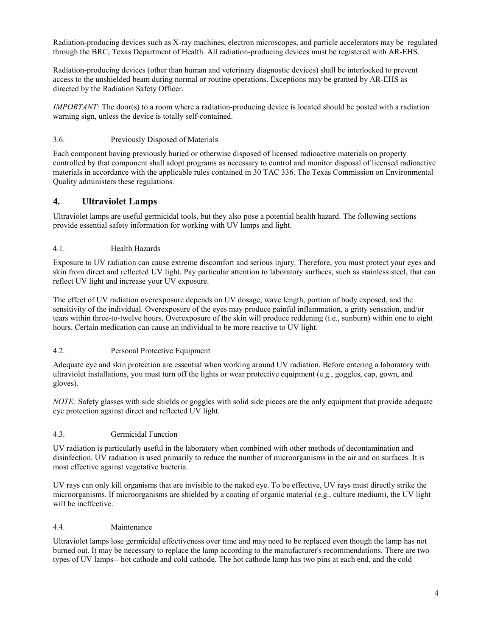Radiation-producing devices such as X-ray machines, electron microscopes, and particle accelerators may be regulated through the BRC, Texas Department of Health. All radiation-producing devices must be registered with AR-EHS.

Radiation-producing devices (other than human and veterinary diagnostic devices) shall be interlocked to prevent access to the unshielded beam during normal or routine operations. Exceptions may be granted by AR-EHS as directed by the Radiation Safety Officer.

*IMPORTANT:* The door(s) to a room where a radiation-producing device is located should be posted with a radiation warning sign, unless the device is totally self-contained.

### <span id="page-3-0"></span>3.6. Previously Disposed of Materials

Each component having previously buried or otherwise disposed of licensed radioactive materials on property controlled by that component shall adopt programs as necessary to control and monitor disposal of licensed radioactive materials in accordance with the applicable rules contained in 30 TAC 336. The Texas Commission on Environmental Quality administers these regulations.

## <span id="page-3-1"></span>**4. Ultraviolet Lamps**

Ultraviolet lamps are useful germicidal tools, but they also pose a potential health hazard. The following sections provide essential safety information for working with UV lamps and light.

### <span id="page-3-2"></span>4.1. Health Hazards

Exposure to UV radiation can cause extreme discomfort and serious injury. Therefore, you must protect your eyes and skin from direct and reflected UV light. Pay particular attention to laboratory surfaces, such as stainless steel, that can reflect UV light and increase your UV exposure.

The effect of UV radiation overexposure depends on UV dosage, wave length, portion of body exposed, and the sensitivity of the individual. Overexposure of the eyes may produce painful inflammation, a gritty sensation, and/or tears within three-to-twelve hours. Overexposure of the skin will produce reddening (i.e., sunburn) within one to eight hours. Certain medication can cause an individual to be more reactive to UV light.

### <span id="page-3-3"></span>4.2. Personal Protective Equipment

Adequate eye and skin protection are essential when working around UV radiation. Before entering a laboratory with ultraviolet installations, you must turn off the lights or wear protective equipment (e.g., goggles, cap, gown, and gloves).

*NOTE:* Safety glasses with side shields or goggles with solid side pieces are the only equipment that provide adequate eye protection against direct and reflected UV light.

### <span id="page-3-4"></span>4.3. Germicidal Function

UV radiation is particularly useful in the laboratory when combined with other methods of decontamination and disinfection. UV radiation is used primarily to reduce the number of microorganisms in the air and on surfaces. It is most effective against vegetative bacteria.

UV rays can only kill organisms that are invisible to the naked eye. To be effective, UV rays must directly strike the microorganisms. If microorganisms are shielded by a coating of organic material (e.g., culture medium), the UV light will be ineffective.

### <span id="page-3-5"></span>4.4. Maintenance

Ultraviolet lamps lose germicidal effectiveness over time and may need to be replaced even though the lamp has not burned out. It may be necessary to replace the lamp according to the manufacturer's recommendations. There are two types of UV lamps-- hot cathode and cold cathode. The hot cathode lamp has two pins at each end, and the cold